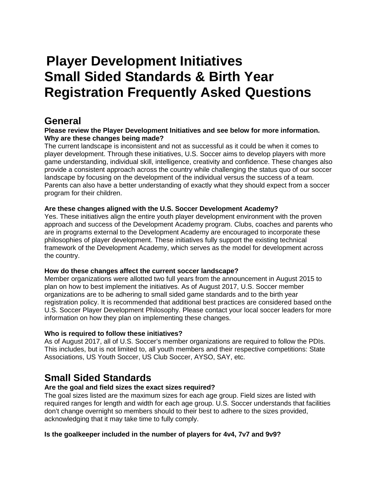# **Player Development Initiatives Small Sided Standards & Birth Year Registration Frequently Asked Questions**

### **General**

#### **Please review the Player Development Initiatives and see below for more information. Why are these changes being made?**

The current landscape is inconsistent and not as successful as it could be when it comes to player development. Through these initiatives, U.S. Soccer aims to develop players with more game understanding, individual skill, intelligence, creativity and confidence. These changes also provide a consistent approach across the country while challenging the status quo of our soccer landscape by focusing on the development of the individual versus the success of a team. Parents can also have a better understanding of exactly what they should expect from a soccer program for their children.

#### **Are these changes aligned with the U.S. Soccer Development Academy?**

Yes. These initiatives align the entire youth player development environment with the proven approach and success of the Development Academy program. Clubs, coaches and parents who are in programs external to the Development Academy are encouraged to incorporate these philosophies of player development. These initiatives fully support the existing technical framework of the Development Academy, which serves as the model for development across the country.

#### **How do these changes affect the current soccer landscape?**

Member organizations were allotted two full years from the announcement in August 2015 to plan on how to best implement the initiatives. As of August 2017, U.S. Soccer member organizations are to be adhering to small sided game standards and to the birth year registration policy. It is recommended that additional best practices are considered based onthe U.S. Soccer Player Development Philosophy. Please contact your local soccer leaders for more information on how they plan on implementing these changes.

#### **Who is required to follow these initiatives?**

As of August 2017, all of U.S. Soccer's member organizations are required to follow the PDIs. This includes, but is not limited to, all youth members and their respective competitions: State Associations, US Youth Soccer, US Club Soccer, AYSO, SAY, etc.

### **Small Sided Standards**

#### **Are the goal and field sizes the exact sizes required?**

The goal sizes listed are the maximum sizes for each age group. Field sizes are listed with required ranges for length and width for each age group. U.S. Soccer understands that facilities don't change overnight so members should to their best to adhere to the sizes provided, acknowledging that it may take time to fully comply.

#### **Is the goalkeeper included in the number of players for 4v4, 7v7 and 9v9?**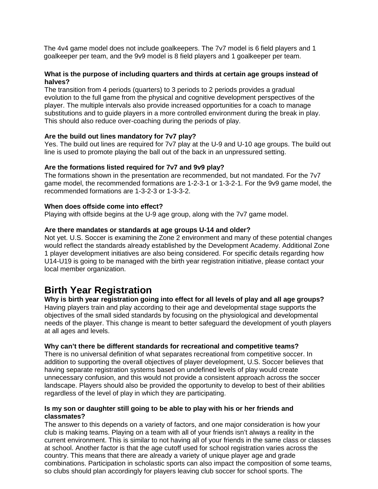The 4v4 game model does not include goalkeepers. The 7v7 model is 6 field players and 1 goalkeeper per team, and the 9v9 model is 8 field players and 1 goalkeeper per team.

#### **What is the purpose of including quarters and thirds at certain age groups instead of halves?**

The transition from 4 periods (quarters) to 3 periods to 2 periods provides a gradual evolution to the full game from the physical and cognitive development perspectives of the player. The multiple intervals also provide increased opportunities for a coach to manage substitutions and to guide players in a more controlled environment during the break in play. This should also reduce over-coaching during the periods of play.

#### **Are the build out lines mandatory for 7v7 play?**

Yes. The build out lines are required for 7v7 play at the U-9 and U-10 age groups. The build out line is used to promote playing the ball out of the back in an unpressured setting.

#### **Are the formations listed required for 7v7 and 9v9 play?**

The formations shown in the presentation are recommended, but not mandated. For the 7v7 game model, the recommended formations are 1-2-3-1 or 1-3-2-1. For the 9v9 game model, the recommended formations are 1-3-2-3 or 1-3-3-2.

#### **When does offside come into effect?**

Playing with offside begins at the U-9 age group, along with the 7v7 game model.

#### **Are there mandates or standards at age groups U-14 and older?**

Not yet. U.S. Soccer is examining the Zone 2 environment and many of these potential changes would reflect the standards already established by the Development Academy. Additional Zone 1 player development initiatives are also being considered. For specific details regarding how U14-U19 is going to be managed with the birth year registration initiative, please contact your local member organization.

### **Birth Year Registration**

#### **Why is birth year registration going into effect for all levels of play and all age groups?**

Having players train and play according to their age and developmental stage supports the objectives of the small sided standards by focusing on the physiological and developmental needs of the player. This change is meant to better safeguard the development of youth players at all ages and levels.

#### **Why can't there be different standards for recreational and competitive teams?**

There is no universal definition of what separates recreational from competitive soccer. In addition to supporting the overall objectives of player development, U.S. Soccer believes that having separate registration systems based on undefined levels of play would create unnecessary confusion, and this would not provide a consistent approach across the soccer landscape. Players should also be provided the opportunity to develop to best of their abilities regardless of the level of play in which they are participating.

#### **Is my son or daughter still going to be able to play with his or her friends and classmates?**

The answer to this depends on a variety of factors, and one major consideration is how your club is making teams. Playing on a team with all of your friends isn't always a reality in the current environment. This is similar to not having all of your friends in the same class or classes at school. Another factor is that the age cutoff used for school registration varies across the country. This means that there are already a variety of unique player age and grade combinations. Participation in scholastic sports can also impact the composition of some teams, so clubs should plan accordingly for players leaving club soccer for school sports. The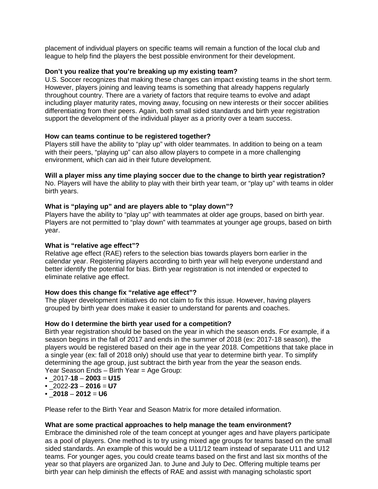placement of individual players on specific teams will remain a function of the local club and league to help find the players the best possible environment for their development.

#### **Don't you realize that you're breaking up my existing team?**

U.S. Soccer recognizes that making these changes can impact existing teams in the short term. However, players joining and leaving teams is something that already happens regularly throughout country. There are a variety of factors that require teams to evolve and adapt including player maturity rates, moving away, focusing on new interests or their soccer abilities differentiating from their peers. Again, both small sided standards and birth year registration support the development of the individual player as a priority over a team success.

#### **How can teams continue to be registered together?**

Players still have the ability to "play up" with older teammates. In addition to being on a team with their peers, "playing up" can also allow players to compete in a more challenging environment, which can aid in their future development.

#### **Will a player miss any time playing soccer due to the change to birth year registration?**

No. Players will have the ability to play with their birth year team, or "play up" with teams in older birth years.

#### **What is "playing up" and are players able to "play down"?**

Players have the ability to "play up" with teammates at older age groups, based on birth year. Players are not permitted to "play down" with teammates at younger age groups, based on birth year.

#### **What is "relative age effect"?**

Relative age effect (RAE) refers to the selection bias towards players born earlier in the calendar year. Registering players according to birth year will help everyone understand and better identify the potential for bias. Birth year registration is not intended or expected to eliminate relative age effect.

#### **How does this change fix "relative age effect"?**

The player development initiatives do not claim to fix this issue. However, having players grouped by birth year does make it easier to understand for parents and coaches.

#### **How do I determine the birth year used for a competition?**

Birth year registration should be based on the year in which the season ends. For example, if a season begins in the fall of 2017 and ends in the summer of 2018 (ex: 2017-18 season), the players would be registered based on their age in the year 2018. Competitions that take place in a single year (ex: fall of 2018 only) should use that year to determine birth year. To simplify determining the age group, just subtract the birth year from the year the season ends. Year Season Ends – Birth Year = Age Group:

- $\cdot$  2017-18 2003 = U15
- $\cdot$  2022-23 2016 = U7
- $\cdot$  2018 2012 = U6

Please refer to the Birth Year and Season Matrix for more detailed information.

#### **What are some practical approaches to help manage the team environment?**

Embrace the diminished role of the team concept at younger ages and have players participate as a pool of players. One method is to try using mixed age groups for teams based on the small sided standards. An example of this would be a U11/12 team instead of separate U11 and U12 teams. For younger ages, you could create teams based on the first and last six months of the year so that players are organized Jan. to June and July to Dec. Offering multiple teams per birth year can help diminish the effects of RAE and assist with managing scholastic sport